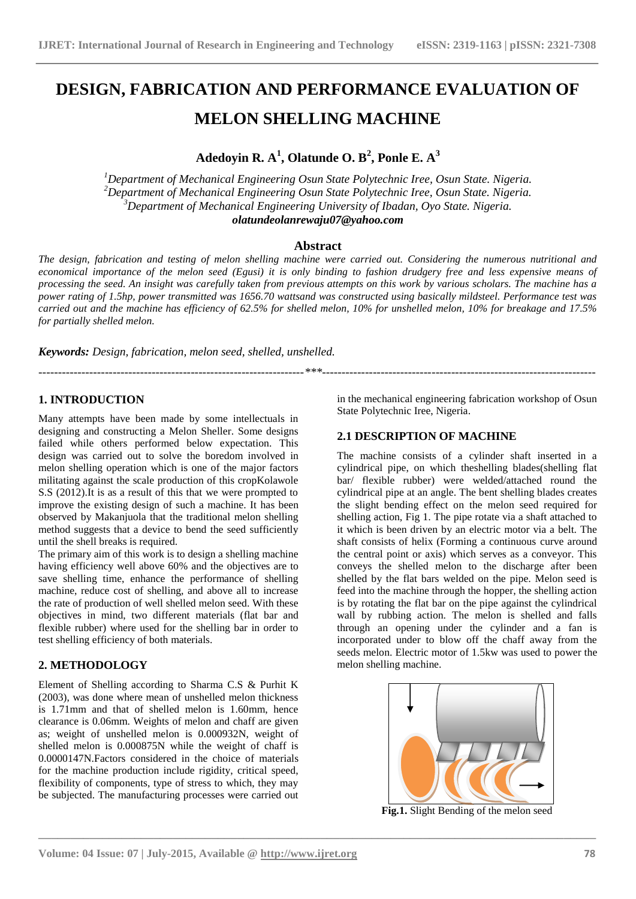# **DESIGN, FABRICATION AND PERFORMANCE EVALUATION OF MELON SHELLING MACHINE**

**Adedoyin R. A<sup>1</sup> , Olatunde O. B<sup>2</sup> , Ponle E. A<sup>3</sup>**

*Department of Mechanical Engineering Osun State Polytechnic Iree, Osun State. Nigeria. Department of Mechanical Engineering Osun State Polytechnic Iree, Osun State. Nigeria. Department of Mechanical Engineering University of Ibadan, Oyo State. Nigeria. olatundeolanrewaju07@yahoo.com*

## **Abstract**

*The design, fabrication and testing of melon shelling machine were carried out. Considering the numerous nutritional and economical importance of the melon seed (Egusi) it is only binding to fashion drudgery free and less expensive means of processing the seed. An insight was carefully taken from previous attempts on this work by various scholars. The machine has a power rating of 1.5hp, power transmitted was 1656.70 wattsand was constructed using basically mildsteel. Performance test was carried out and the machine has efficiency of 62.5% for shelled melon, 10% for unshelled melon, 10% for breakage and 17.5% for partially shelled melon.* 

*--------------------------------------------------------------------\*\*\*----------------------------------------------------------------------*

**\_\_\_\_\_\_\_\_\_\_\_\_\_\_\_\_\_\_\_\_\_\_\_\_\_\_\_\_\_\_\_\_\_\_\_\_\_\_\_\_\_\_\_\_\_\_\_\_\_\_\_\_\_\_\_\_\_\_\_\_\_\_\_\_\_\_\_\_\_\_\_\_\_\_\_\_\_\_\_\_\_\_\_\_\_\_\_**

*Keywords: Design, fabrication, melon seed, shelled, unshelled.* 

# **1. INTRODUCTION**

Many attempts have been made by some intellectuals in designing and constructing a Melon Sheller. Some designs failed while others performed below expectation. This design was carried out to solve the boredom involved in melon shelling operation which is one of the major factors militating against the scale production of this cropKolawole S.S (2012).It is as a result of this that we were prompted to improve the existing design of such a machine. It has been observed by Makanjuola that the traditional melon shelling method suggests that a device to bend the seed sufficiently until the shell breaks is required.

The primary aim of this work is to design a shelling machine having efficiency well above 60% and the objectives are to save shelling time, enhance the performance of shelling machine, reduce cost of shelling, and above all to increase the rate of production of well shelled melon seed. With these objectives in mind, two different materials (flat bar and flexible rubber) where used for the shelling bar in order to test shelling efficiency of both materials.

# **2. METHODOLOGY**

Element of Shelling according to Sharma C.S & Purhit K (2003), was done where mean of unshelled melon thickness is 1.71mm and that of shelled melon is 1.60mm, hence clearance is 0.06mm. Weights of melon and chaff are given as; weight of unshelled melon is 0.000932N, weight of shelled melon is 0.000875N while the weight of chaff is 0.0000147N.Factors considered in the choice of materials for the machine production include rigidity, critical speed, flexibility of components, type of stress to which, they may be subjected. The manufacturing processes were carried out

in the mechanical engineering fabrication workshop of Osun State Polytechnic Iree, Nigeria.

### **2.1 DESCRIPTION OF MACHINE**

The machine consists of a cylinder shaft inserted in a cylindrical pipe, on which theshelling blades(shelling flat bar/ flexible rubber) were welded/attached round the cylindrical pipe at an angle. The bent shelling blades creates the slight bending effect on the melon seed required for shelling action, Fig 1. The pipe rotate via a shaft attached to it which is been driven by an electric motor via a belt. The shaft consists of helix (Forming a continuous curve around the central point or axis) which serves as a conveyor. This conveys the shelled melon to the discharge after been shelled by the flat bars welded on the pipe. Melon seed is feed into the machine through the hopper, the shelling action is by rotating the flat bar on the pipe against the cylindrical wall by rubbing action. The melon is shelled and falls through an opening under the cylinder and a fan is incorporated under to blow off the chaff away from the seeds melon. Electric motor of 1.5kw was used to power the melon shelling machine.



**Fig.1.** Slight Bending of the melon seed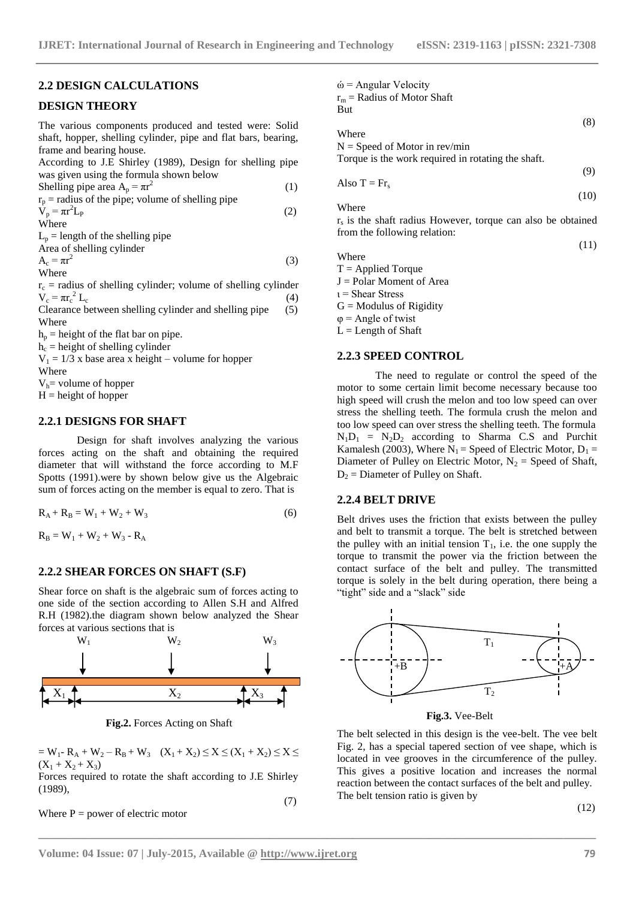#### **2.2 DESIGN CALCULATIONS**

#### **DESIGN THEORY**

The various components produced and tested were: Solid shaft, hopper, shelling cylinder, pipe and flat bars, bearing, frame and bearing house.

According to J.E Shirley (1989), Design for shelling pipe was given using the formula shown below

Shelling pipe area 
$$
A_p = \pi r^2
$$
 (1)  
\n $r_p$  = radius of the pipe; volume of shelling pipe  
\n $V_p = \pi r^2 L_p$  (2)

Where

 $L_p$  = length of the shelling pipe

Area of shelling cylinder

 $A_c = \pi r^2$  (3) Where

 $r_c$  = radius of shelling cylinder; volume of shelling cylinder  $V_c = \pi r_c^2 L_c$  (4)  $V_c = \pi r_c^2 L_c$ (4)

Clearance between shelling cylinder and shelling pipe (5) Where

 $h_p$  = height of the flat bar on pipe.

 $h_c$  = height of shelling cylinder

 $V_1 = 1/3$  x base area x height – volume for hopper Where  $V<sub>h</sub>$  volume of hopper

 $H = height of hopper$ 

#### **2.2.1 DESIGNS FOR SHAFT**

Design for shaft involves analyzing the various forces acting on the shaft and obtaining the required diameter that will withstand the force according to M.F Spotts (1991).were by shown below give us the Algebraic sum of forces acting on the member is equal to zero. That is

$$
R_A + R_B = W_1 + W_2 + W_3
$$
 (6)

 $R_B = W_1 + W_2 + W_3 - R_A$ 

#### **2.2.2 SHEAR FORCES ON SHAFT (S.F)**

Shear force on shaft is the algebraic sum of forces acting to one side of the section according to Allen S.H and Alfred R.H (1982).the diagram shown below analyzed the Shear forces at various sections that is



 **Fig.2.** Forces Acting on Shaft

 $= W_1 - R_A + W_2 - R_B + W_3$   $(X_1 + X_2) \le X \le (X_1 + X_2) \le X \le$  $(X_1 + X_2 + X_3)$ 

Forces required to rotate the shaft according to J.E Shirley (1989), (7)

Where  $P = power$  of electric motor

 $\acute{\omega}$  = Angular Velocity

 $r_m$  = Radius of Motor Shaft

But

 (8) Where

 $N =$  Speed of Motor in rev/min Torque is the work required in rotating the shaft.

$$
Also T = Fr. \tag{9}
$$

 (10) Where

 $r<sub>s</sub>$  is the shaft radius However, torque can also be obtained from the following relation:

Where  $T =$  Applied Torque J = Polar Moment of Area  $i =$ Shear Stress  $G =$  Modulus of Rigidity  $\varphi$  = Angle of twist

 $L =$ Length of Shaft

## **2.2.3 SPEED CONTROL**

The need to regulate or control the speed of the motor to some certain limit become necessary because too high speed will crush the melon and too low speed can over stress the shelling teeth. The formula crush the melon and too low speed can over stress the shelling teeth. The formula  $N_1D_1 = N_2D_2$  according to Sharma C.S and Purchit Kamalesh (2003), Where  $N_1$  = Speed of Electric Motor,  $D_1$  = Diameter of Pulley on Electric Motor,  $N_2$  = Speed of Shaft,  $D_2$  = Diameter of Pulley on Shaft.

#### **2.2.4 BELT DRIVE**

Belt drives uses the friction that exists between the pulley and belt to transmit a torque. The belt is stretched between the pulley with an initial tension  $T_1$ , i.e. the one supply the torque to transmit the power via the friction between the contact surface of the belt and pulley. The transmitted torque is solely in the belt during operation, there being a "tight" side and a "slack" side



 **Fig.3.** Vee-Belt

The belt selected in this design is the vee-belt. The vee belt Fig. 2, has a special tapered section of vee shape, which is located in vee grooves in the circumference of the pulley. This gives a positive location and increases the normal reaction between the contact surfaces of the belt and pulley. The belt tension ratio is given by

(11)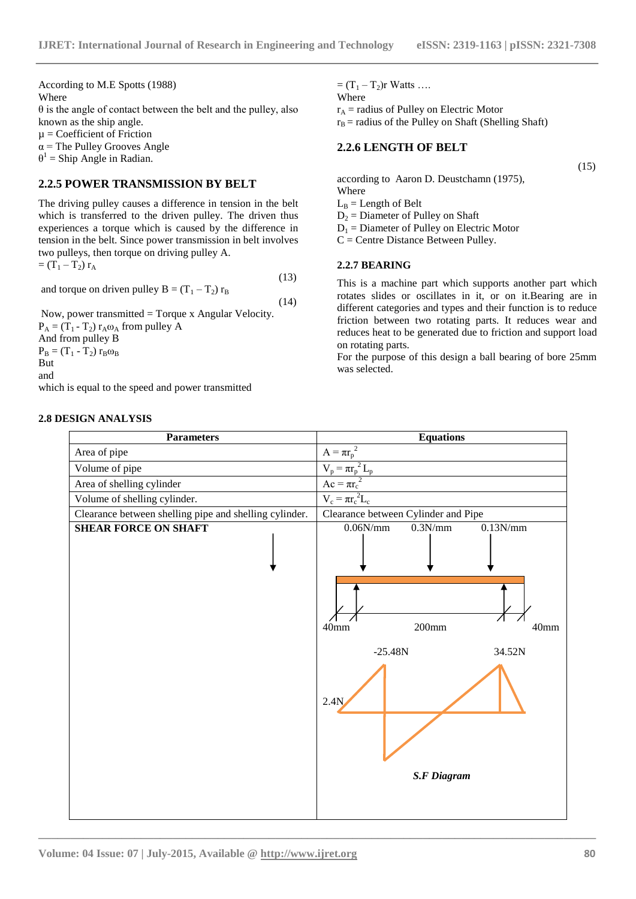According to M.E Spotts (1988) Where

 $\theta$  is the angle of contact between the belt and the pulley, also known as the ship angle.

 $\mu$  = Coefficient of Friction

 $\alpha$  = The Pulley Grooves Angle

 $\theta^1$  = Ship Angle in Radian.

## **2.2.5 POWER TRANSMISSION BY BELT**

The driving pulley causes a difference in tension in the belt which is transferred to the driven pulley. The driven thus experiences a torque which is caused by the difference in tension in the belt. Since power transmission in belt involves two pulleys, then torque on driving pulley A.  $=(T_1 - T_2) r_A$ 

 (13) and torque on driven pulley  $B = (T_1 - T_2) r_B$ 

(14)

Now, power transmitted = Torque x Angular Velocity.  $P_A = (T_1 - T_2) r_A \omega_A$  from pulley A And from pulley B  $P_B = (T_1 - T_2) r_B \omega_B$ But and

which is equal to the speed and power transmitted

## **2.8 DESIGN ANALYSIS**

 $=(T_1 - T_2)r$  Watts …. Where  $r_A$  = radius of Pulley on Electric Motor  $r_B$  = radius of the Pulley on Shaft (Shelling Shaft)

## **2.2.6 LENGTH OF BELT**

 (15) according to Aaron D. Deustchamn (1975), Where  $L_B =$ Length of Belt  $D_2$  = Diameter of Pulley on Shaft  $D_1$  = Diameter of Pulley on Electric Motor  $C =$  Centre Distance Between Pulley.

#### **2.2.7 BEARING**

This is a machine part which supports another part which rotates slides or oscillates in it, or on it.Bearing are in different categories and types and their function is to reduce friction between two rotating parts. It reduces wear and reduces heat to be generated due to friction and support load on rotating parts.

For the purpose of this design a ball bearing of bore 25mm was selected.

| <b>Parameters</b>                                      | <b>Equations</b>                                  |  |  |
|--------------------------------------------------------|---------------------------------------------------|--|--|
| Area of pipe                                           | $A = \pi {r_p}^2$                                 |  |  |
| Volume of pipe                                         | $V_p = \pi r_p^2 L_p$                             |  |  |
| Area of shelling cylinder                              | $Ac = \pi {r_c}^2$                                |  |  |
| Volume of shelling cylinder.                           | $V_c = \pi r_c^2 L_c$                             |  |  |
| Clearance between shelling pipe and shelling cylinder. | Clearance between Cylinder and Pipe               |  |  |
| <b>SHEAR FORCE ON SHAFT</b>                            | 0.06N/mm<br>0.3N/mm<br>0.13N/mm                   |  |  |
|                                                        | 40 <sub>mm</sub><br>$200$ mm<br>40 <sub>mm</sub>  |  |  |
|                                                        | $-25.48N$<br>34.52N<br>2.4N<br><b>S.F Diagram</b> |  |  |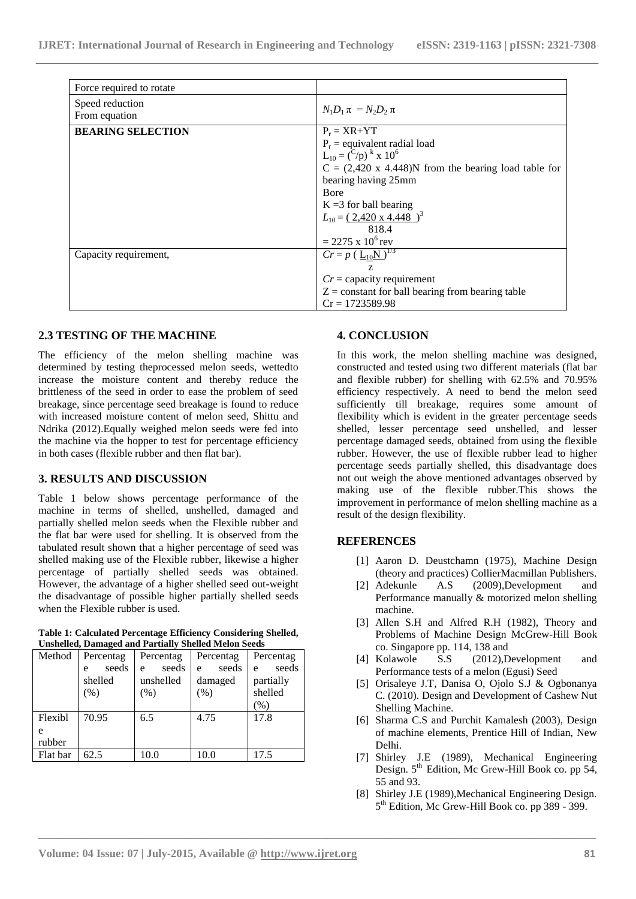| Force required to rotate         |                                                                  |
|----------------------------------|------------------------------------------------------------------|
| Speed reduction<br>From equation | $N_1D_1 \pi = N_2D_2 \pi$                                        |
| <b>BEARING SELECTION</b>         | $P_r = XR+YT$                                                    |
|                                  | $P_r$ = equivalent radial load                                   |
|                                  | $L_{10} = (C/p)^{k}$ x 10 <sup>6</sup>                           |
|                                  | $C = (2,420 \text{ x } 4.448)$ N from the bearing load table for |
|                                  | bearing having 25mm                                              |
|                                  | Bore                                                             |
|                                  | $K = 3$ for ball bearing                                         |
|                                  | $L_{10} = (2,420 \times 4.448)^3$                                |
|                                  | 818.4                                                            |
|                                  | $= 2275 \times 10^6$ rev                                         |
| Capacity requirement,            | $Cr = p (\underline{L_{10}N})^{1/3}$                             |
|                                  | Z.                                                               |
|                                  | $Cr =$ capacity requirement                                      |
|                                  | $Z = constant$ for ball bearing from bearing table               |
|                                  | $Cr = 1723589.98$                                                |

# **2.3 TESTING OF THE MACHINE**

The efficiency of the melon shelling machine was determined by testing theprocessed melon seeds, wettedto increase the moisture content and thereby reduce the brittleness of the seed in order to ease the problem of seed breakage, since percentage seed breakage is found to reduce with increased moisture content of melon seed, Shittu and Ndrika (2012).Equally weighed melon seeds were fed into the machine via the hopper to test for percentage efficiency in both cases (flexible rubber and then flat bar).

# **3. RESULTS AND DISCUSSION**

Table 1 below shows percentage performance of the machine in terms of shelled, unshelled, damaged and partially shelled melon seeds when the Flexible rubber and the flat bar were used for shelling. It is observed from the tabulated result shown that a higher percentage of seed was shelled making use of the Flexible rubber, likewise a higher percentage of partially shelled seeds was obtained. However, the advantage of a higher shelled seed out-weight the disadvantage of possible higher partially shelled seeds when the Flexible rubber is used.

| <b>Table 1: Calculated Percentage Efficiency Considering Shelled,</b> |  |
|-----------------------------------------------------------------------|--|
| <b>Unshelled, Damaged and Partially Shelled Melon Seeds</b>           |  |

| $\sim$ more and $\sim$ money of the $\sim$ money $\sim$ more $\sim$ and $\sim$ $\sim$ $\sim$ $\sim$ $\sim$ |            |            |            |            |  |  |
|------------------------------------------------------------------------------------------------------------|------------|------------|------------|------------|--|--|
| Method                                                                                                     | Percentag  | Percentag  | Percentag  | Percentag  |  |  |
|                                                                                                            | seeds<br>e | seeds<br>e | seeds<br>e | seeds<br>e |  |  |
|                                                                                                            | shelled    | unshelled  | damaged    | partially  |  |  |
|                                                                                                            | (% )       | (% )       | (% )       | shelled    |  |  |
|                                                                                                            |            |            |            | (%)        |  |  |
| Flexibl                                                                                                    | 70.95      | 6.5        | 4.75       | 17.8       |  |  |
| e                                                                                                          |            |            |            |            |  |  |
| rubber                                                                                                     |            |            |            |            |  |  |
| Flat bar                                                                                                   | 62.5       | 10.0       | 10.0       | 17.5       |  |  |

## **4. CONCLUSION**

In this work, the melon shelling machine was designed, constructed and tested using two different materials (flat bar and flexible rubber) for shelling with 62.5% and 70.95% efficiency respectively. A need to bend the melon seed sufficiently till breakage, requires some amount of flexibility which is evident in the greater percentage seeds shelled, lesser percentage seed unshelled, and lesser percentage damaged seeds, obtained from using the flexible rubber. However, the use of flexible rubber lead to higher percentage seeds partially shelled, this disadvantage does not out weigh the above mentioned advantages observed by making use of the flexible rubber.This shows the improvement in performance of melon shelling machine as a result of the design flexibility.

# **REFERENCES**

- [1] Aaron D. Deustchamn (1975), Machine Design (theory and practices) CollierMacmillan Publishers.
- [2] Adekunle A.S (2009),Development and Performance manually & motorized melon shelling machine.
- [3] Allen S.H and Alfred R.H (1982), Theory and Problems of Machine Design McGrew-Hill Book co. Singapore pp. 114, 138 and
- [4] Kolawole S.S (2012),Development and Performance tests of a melon (Egusi) Seed
- [5] Orisaleye J.T, Danisa O, Ojolo S.J & Ogbonanya C. (2010). Design and Development of Cashew Nut Shelling Machine.
- [6] Sharma C.S and Purchit Kamalesh (2003), Design of machine elements, Prentice Hill of Indian, New Delhi.
- [7] Shirley J.E (1989), Mechanical Engineering Design. 5<sup>th</sup> Edition, Mc Grew-Hill Book co. pp 54, 55 and 93.
- [8] Shirley J.E (1989), Mechanical Engineering Design. 5<sup>th</sup> Edition, Mc Grew-Hill Book co. pp 389 - 399.